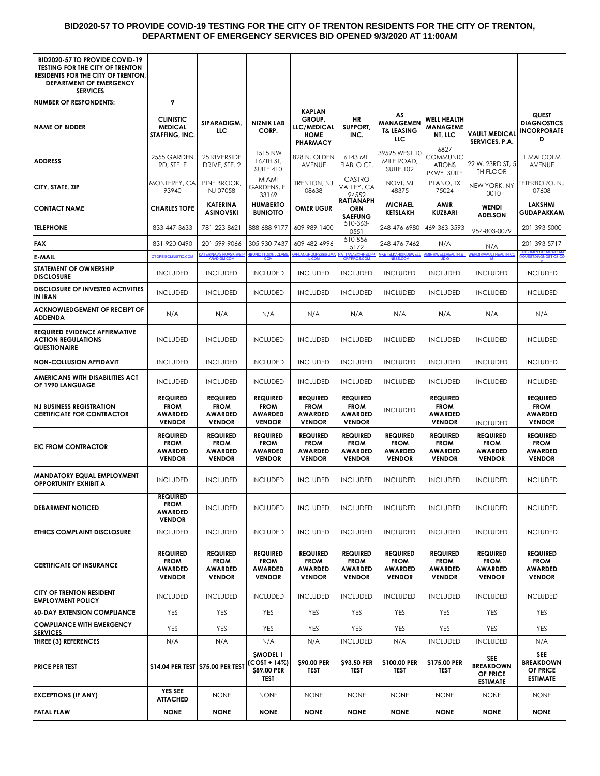#### **BID2020-57 TO PROVIDE COVID-19 TESTING FOR THE CITY OF TRENTON RESIDENTS FOR THE CITY OF TRENTON, DEPARTMENT OF EMERGENCY SERVICES BID OPENED 9/3/2020 AT 11:00AM**

| <b>BID2020-57 TO PROVIDE COVID-19</b><br><b>TESTING FOR THE CITY OF TRENTON</b><br><b>RESIDENTS FOR THE CITY OF TRENTON.</b><br><b>DEPARTMENT OF EMERGENCY</b><br><b>SERVICES</b> |                                                                   |                                                                   |                                                                   |                                                                                 |                                                                   |                                                                   |                                                                   |                                                                   |                                                                   |
|-----------------------------------------------------------------------------------------------------------------------------------------------------------------------------------|-------------------------------------------------------------------|-------------------------------------------------------------------|-------------------------------------------------------------------|---------------------------------------------------------------------------------|-------------------------------------------------------------------|-------------------------------------------------------------------|-------------------------------------------------------------------|-------------------------------------------------------------------|-------------------------------------------------------------------|
| <b>NUMBER OF RESPONDENTS:</b>                                                                                                                                                     | 9                                                                 |                                                                   |                                                                   |                                                                                 |                                                                   |                                                                   |                                                                   |                                                                   |                                                                   |
| <b>NAME OF BIDDER</b>                                                                                                                                                             | <b>CLINISTIC</b><br><b>MEDICAL</b><br>STAFFING, INC.              | <b>SIPARADIGM,</b><br>ЦC                                          | <b>NIZNIK LAB</b><br>CORP.                                        | <b>KAPLAN</b><br>GROUP,<br><b>LLC/MEDICAL</b><br><b>HOME</b><br><b>PHARMACY</b> | HR<br>SUPPORT,<br>INC.                                            | AS<br><b>MANAGEMEN</b><br><b>T&amp; LEASING</b><br>ЦC             | <b>WELL HEALTH</b><br><b>MANAGEME</b><br>NT, LLC                  | <b>VAULT MEDICAL</b><br>SERVICES, P.A.                            | QUEST<br><b>DIAGNOSTICS</b><br><b>INCORPORATE</b><br>D            |
| <b>ADDRESS</b>                                                                                                                                                                    | 2555 GARDEN<br>RD, STE. E                                         | 25 RIVERSIDE<br>DRIVE, STE, 2                                     | 1515 NW<br>167TH ST,<br><b>SUITE 410</b>                          | 828 N. OLDEN<br>AVENUE                                                          | 6143 MT.<br>FIABLO CT.                                            | 39595 WEST 10<br>MILE ROAD,<br><b>SUITE 102</b>                   | 6827<br><b>COMMUNIC</b><br><b>ATIONS</b><br>PKWY, SUITE           | 22 W. 23RD ST, 5<br>TH FLOOR                                      | 1 MALCOLM<br>AVENUE                                               |
| CITY, STATE, ZIP                                                                                                                                                                  | MONTEREY, CA<br>93940                                             | PINE BROOK,<br>NJ 07058                                           | <b>MIAMI</b><br>GARDENS, FL<br>33169                              | TRENTON, NJ<br>08638                                                            | CASTRO<br>VALLEY, CA<br>94552                                     | NOVI, MI<br>48375                                                 | PLANO, TX<br>75024                                                | NEW YORK, NY<br>10010                                             | TETERBORO, NJ<br>07608                                            |
| <b>CONTACT NAME</b>                                                                                                                                                               | <b>CHARLES TOPE</b>                                               | <b>KATERINA</b><br><b>ASINOVSKI</b>                               | <b>HUMBERTO</b><br><b>BUNIOTTO</b>                                | <b>OMER UGUR</b>                                                                | RATTANAPH<br>ORN<br><b>SAEFUNG</b>                                | <b>MICHAEL</b><br><b>KETSLAKH</b>                                 | AMIR<br>KUZBARI                                                   | <b>WENDI</b><br><b>ADELSON</b>                                    | <b>LAKSHMI</b><br>GUDAPAKKAM                                      |
| <b>TELEPHONE</b>                                                                                                                                                                  | 833-447-3633                                                      | 781-223-8621                                                      | 888-688-9177                                                      | 609-989-1400                                                                    | 510-363-<br>0551                                                  | 248-476-6980                                                      | 469-363-3593                                                      | 954-803-0079                                                      | 201-393-5000                                                      |
| <b>FAX</b>                                                                                                                                                                        | 831-920-0490                                                      | 201-599-9066                                                      | 305-930-7437                                                      | 609-482-4996                                                                    | 510-856-<br>5172                                                  | 248-476-7462                                                      | N/A                                                               | N/A                                                               | 201-393-5717                                                      |
| <b>E-MAIL</b>                                                                                                                                                                     | CTOPE@CLINISTIC.COM                                               | <b>KATERINA.ASINOVSKI@S</b><br>ARADIGM.COM                        | <b>HBUNIOTTO@NLCLABS</b><br>COM                                   | APLANGROUP828@GM/<br><u>IL.COM</u>                                              | RATTANAS@HRSUPI<br><u>ORTPROS.COM</u>                             | MKETSLKAH@NDSWELL<br>NESS.COM                                     | MIR@WELLHEALTH.ST<br>$UDO$                                        | <b>WENDI@VAULTHEALTH.CO</b><br>${\bf M}$                          | <b>@QUESTDIAGNOSTICS.</b>                                         |
| <b>STATEMENT OF OWNERSHIP</b><br><b>DISCLOSURE</b>                                                                                                                                | <b>INCLUDED</b>                                                   | <b>INCLUDED</b>                                                   | <b>INCLUDED</b>                                                   | <b>INCLUDED</b>                                                                 | <b>INCLUDED</b>                                                   | <b>INCLUDED</b>                                                   | <b>INCLUDED</b>                                                   | <b>INCLUDED</b>                                                   | <b>INCLUDED</b>                                                   |
| <b>DISCLOSURE OF INVESTED ACTIVITIES</b><br>IN IRAN                                                                                                                               | <b>INCLUDED</b>                                                   | <b>INCLUDED</b>                                                   | <b>INCLUDED</b>                                                   | <b>INCLUDED</b>                                                                 | <b>INCLUDED</b>                                                   | <b>INCLUDED</b>                                                   | <b>INCLUDED</b>                                                   | <b>INCLUDED</b>                                                   | <b>INCLUDED</b>                                                   |
| <b>ACKNOWLEDGEMENT OF RECEIPT OF</b><br><b>ADDENDA</b>                                                                                                                            | N/A                                                               | N/A                                                               | N/A                                                               | N/A                                                                             | N/A                                                               | N/A                                                               | N/A                                                               | N/A                                                               | N/A                                                               |
| <b>REQUIRED EVIDENCE AFFIRMATIVE</b><br><b>ACTION REGULATIONS</b><br>QUESTIONAIRE                                                                                                 | <b>INCLUDED</b>                                                   | <b>INCLUDED</b>                                                   | <b>INCLUDED</b>                                                   | <b>INCLUDED</b>                                                                 | <b>INCLUDED</b>                                                   | <b>INCLUDED</b>                                                   | <b>INCLUDED</b>                                                   | <b>INCLUDED</b>                                                   | <b>INCLUDED</b>                                                   |
| <b>NON-COLLUSION AFFIDAVIT</b>                                                                                                                                                    | <b>INCLUDED</b>                                                   | <b>INCLUDED</b>                                                   | <b>INCLUDED</b>                                                   | <b>INCLUDED</b>                                                                 | <b>INCLUDED</b>                                                   | <b>INCLUDED</b>                                                   | <b>INCLUDED</b>                                                   | <b>INCLUDED</b>                                                   | <b>INCLUDED</b>                                                   |
| AMERICANS WITH DISABILITIES ACT<br>OF 1990 LANGUAGE                                                                                                                               | <b>INCLUDED</b>                                                   | <b>INCLUDED</b>                                                   | <b>INCLUDED</b>                                                   | <b>INCLUDED</b>                                                                 | <b>INCLUDED</b>                                                   | <b>INCLUDED</b>                                                   | <b>INCLUDED</b>                                                   | <b>INCLUDED</b>                                                   | <b>INCLUDED</b>                                                   |
| <b>NJ BUSINESS REGISTRATION</b><br><b>CERTIFICATE FOR CONTRACTOR</b>                                                                                                              | <b>REQUIRED</b><br><b>FROM</b><br><b>AWARDED</b><br><b>VENDOR</b> | <b>REQUIRED</b><br><b>FROM</b><br>AWARDED<br><b>VENDOR</b>        | <b>REQUIRED</b><br><b>FROM</b><br><b>AWARDED</b><br><b>VENDOR</b> | <b>REQUIRED</b><br><b>FROM</b><br><b>AWARDED</b><br><b>VENDOR</b>               | <b>REQUIRED</b><br><b>FROM</b><br><b>AWARDED</b><br><b>VENDOR</b> | <b>INCLUDED</b>                                                   | <b>REQUIRED</b><br><b>FROM</b><br><b>AWARDED</b><br><b>VENDOR</b> | <b>INCLUDED</b>                                                   | <b>REQUIRED</b><br><b>FROM</b><br><b>AWARDED</b><br><b>VENDOR</b> |
| <b>EIC FROM CONTRACTOR</b>                                                                                                                                                        | <b>REQUIRED</b><br><b>FROM</b><br><b>AWARDED</b><br><b>VENDOR</b> | <b>REQUIRED</b><br><b>FROM</b><br><b>AWARDED</b><br><b>VENDOR</b> | <b>REQUIRED</b><br><b>FROM</b><br><b>AWARDED</b><br><b>VENDOR</b> | <b>REQUIRED</b><br><b>FROM</b><br>AWARDED<br><b>VENDOR</b>                      | <b>REQUIRED</b><br><b>FROM</b><br><b>AWARDED</b><br><b>VENDOR</b> | <b>REQUIRED</b><br><b>FROM</b><br><b>AWARDED</b><br><b>VENDOR</b> | <b>REQUIRED</b><br><b>FROM</b><br><b>AWARDED</b><br><b>VENDOR</b> | <b>REQUIRED</b><br><b>FROM</b><br><b>AWARDED</b><br><b>VENDOR</b> | <b>REQUIRED</b><br><b>FROM</b><br><b>AWARDED</b><br><b>VENDOR</b> |
| <b>MANDATORY EQUAL EMPLOYMENT</b><br><b>OPPORTUNITY EXHIBIT A</b>                                                                                                                 | <b>INCLUDED</b>                                                   | <b>INCLUDED</b>                                                   | <b>INCLUDED</b>                                                   | <b>INCLUDED</b>                                                                 | <b>INCLUDED</b>                                                   | <b>INCLUDED</b>                                                   | <b>INCLUDED</b>                                                   | <b>INCLUDED</b>                                                   | <b>INCLUDED</b>                                                   |
| <b>DEBARMENT NOTICED</b>                                                                                                                                                          | <b>REQUIRED</b><br><b>FROM</b><br><b>AWARDED</b><br><b>VENDOR</b> | <b>INCLUDED</b>                                                   | <b>INCLUDED</b>                                                   | <b>INCLUDED</b>                                                                 | <b>INCLUDED</b>                                                   | <b>INCLUDED</b>                                                   | <b>INCLUDED</b>                                                   | <b>INCLUDED</b>                                                   | <b>INCLUDED</b>                                                   |
| <b>ETHICS COMPLAINT DISCLOSURE</b>                                                                                                                                                | <b>INCLUDED</b>                                                   | <b>INCLUDED</b>                                                   | <b>INCLUDED</b>                                                   | <b>INCLUDED</b>                                                                 | <b>INCLUDED</b>                                                   | <b>INCLUDED</b>                                                   | <b>INCLUDED</b>                                                   | <b>INCLUDED</b>                                                   | <b>INCLUDED</b>                                                   |
| <b>CERTIFICATE OF INSURANCE</b>                                                                                                                                                   | <b>REQUIRED</b><br><b>FROM</b><br><b>AWARDED</b><br><b>VENDOR</b> | <b>REQUIRED</b><br><b>FROM</b><br><b>AWARDED</b><br><b>VENDOR</b> | <b>REQUIRED</b><br><b>FROM</b><br><b>AWARDED</b><br><b>VENDOR</b> | <b>REQUIRED</b><br><b>FROM</b><br><b>AWARDED</b><br><b>VENDOR</b>               | <b>REQUIRED</b><br><b>FROM</b><br><b>AWARDED</b><br><b>VENDOR</b> | <b>REQUIRED</b><br><b>FROM</b><br><b>AWARDED</b><br><b>VENDOR</b> | <b>REQUIRED</b><br><b>FROM</b><br><b>AWARDED</b><br><b>VENDOR</b> | <b>REQUIRED</b><br><b>FROM</b><br><b>AWARDED</b><br><b>VENDOR</b> | <b>REQUIRED</b><br><b>FROM</b><br><b>AWARDED</b><br><b>VENDOR</b> |
| <b>CITY OF TRENTON RESIDENT</b><br><b>EMPLOYMENT POLICY</b>                                                                                                                       | <b>INCLUDED</b>                                                   | <b>INCLUDED</b>                                                   | <b>INCLUDED</b>                                                   | <b>INCLUDED</b>                                                                 | <b>INCLUDED</b>                                                   | <b>INCLUDED</b>                                                   | <b>INCLUDED</b>                                                   | <b>INCLUDED</b>                                                   | <b>INCLUDED</b>                                                   |
| <b>60-DAY EXTENSION COMPLIANCE</b>                                                                                                                                                | YES                                                               | YES                                                               | YES                                                               | YES                                                                             | YES                                                               | YES                                                               | YES                                                               | YES                                                               | YES                                                               |
| <b>COMPLIANCE WITH EMERGENCY</b><br><b>SERVICES</b>                                                                                                                               | <b>YES</b>                                                        | YES                                                               | YES                                                               | <b>YES</b>                                                                      | YES                                                               | <b>YES</b>                                                        | YES                                                               | YES                                                               | <b>YES</b>                                                        |
| THREE (3) REFERENCES                                                                                                                                                              | N/A                                                               | N/A                                                               | N/A                                                               | N/A                                                                             | <b>INCLUDED</b>                                                   | N/A                                                               | <b>INCLUDED</b>                                                   | <b>INCLUDED</b>                                                   | N/A                                                               |
| <b>PRICE PER TEST</b>                                                                                                                                                             |                                                                   | \$14.04 PER TEST \$75.00 PER TEST                                 | <b>SMODEL 1</b><br>(COST + 14%)<br>\$89.00 PER<br>TEST            | \$90.00 PER<br>TEST                                                             | \$93.50 PER<br>TEST                                               | \$100.00 PER<br>TEST                                              | \$175.00 PER<br><b>TEST</b>                                       | <b>SEE</b><br><b>BREAKDOWN</b><br>OF PRICE<br><b>ESTIMATE</b>     | <b>SEE</b><br><b>BREAKDOWN</b><br>OF PRICE<br><b>ESTIMATE</b>     |
| <b>EXCEPTIONS (IF ANY)</b>                                                                                                                                                        | <b>YES SEE</b><br><b>ATTACHED</b>                                 | <b>NONE</b>                                                       | <b>NONE</b>                                                       | <b>NONE</b>                                                                     | <b>NONE</b>                                                       | <b>NONE</b>                                                       | <b>NONE</b>                                                       | <b>NONE</b>                                                       | <b>NONE</b>                                                       |
| <b>FATAL FLAW</b>                                                                                                                                                                 | <b>NONE</b>                                                       | <b>NONE</b>                                                       | <b>NONE</b>                                                       | <b>NONE</b>                                                                     | <b>NONE</b>                                                       | <b>NONE</b>                                                       | <b>NONE</b>                                                       | <b>NONE</b>                                                       | <b>NONE</b>                                                       |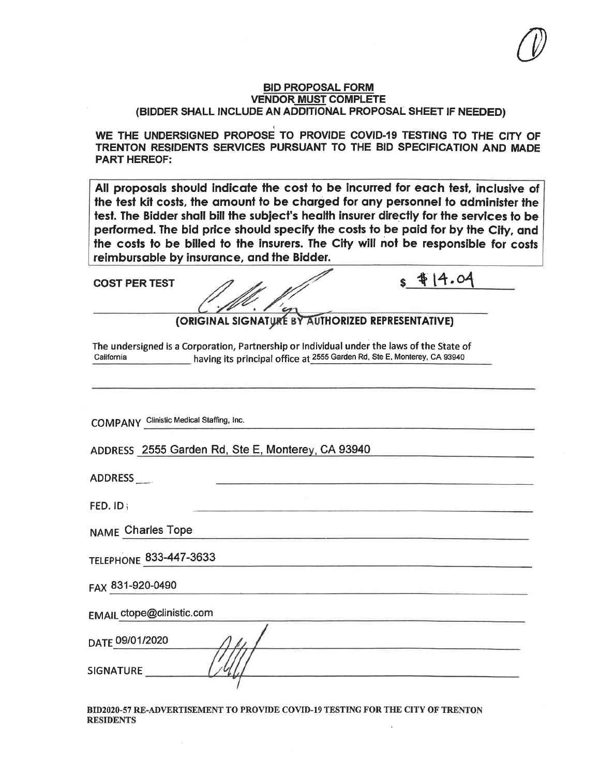WE THE UNDERSIGNED PROPOSE TO PROVIDE COVID-19 TESTING TO THE CITY OF TRENTON RESIDENTS SERVICES PURSUANT TO THE BID SPECIFICATION AND MADE **PART HEREOF:** 

All proposals should indicate the cost to be incurred for each test, inclusive of the test kit costs, the amount to be charged for any personnel to administer the test. The Bidder shall bill the subject's health insurer directly for the services to be performed. The bid price should specify the costs to be paid for by the City, and the costs to be billed to the insurers. The City will not be responsible for costs reimbursable by insurance, and the Bidder.

**COST PER TEST** 

(ORIGINAL SIGNATURE BY AUTHORIZED REPRESENTATIVE)

 $s$   $414.04$ 

The undersigned is a Corporation, Partnership or Individual under the laws of the State of California having its principal office at 2555 Garden Rd, Ste E, Monterey, CA 93940

**COMPANY** Clinistic Medical Staffing, Inc.

ADDRESS 2555 Garden Rd, Ste E, Monterey, CA 93940

ADDRESS

FED. ID:

NAME Charles Tope

TELEPHONE 833-447-3633

FAX 831-920-0490

**EMAIL ctope@clinistic.com** 

| DATE 09/01/2020                          |  |
|------------------------------------------|--|
| and the company's state of the company's |  |
| <b>SIGNATURE</b>                         |  |
|                                          |  |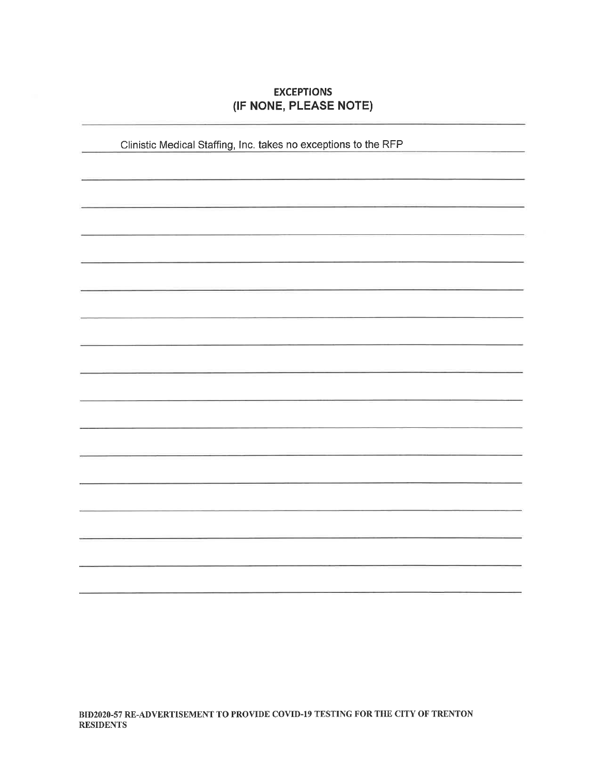## **EXCEPTIONS** (IF NONE, PLEASE NOTE)

Clinistic Medical Staffing, Inc. takes no exceptions to the RFP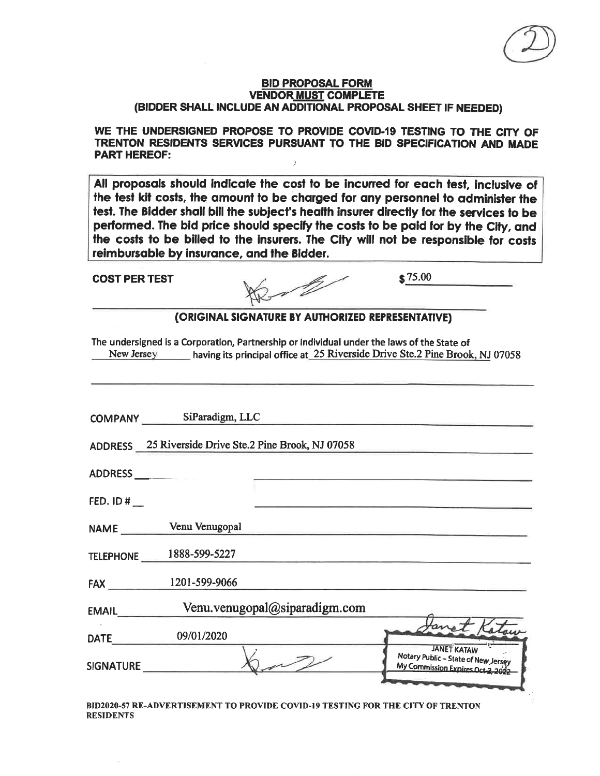WE THE UNDERSIGNED PROPOSE TO PROVIDE COVID-19 TESTING TO THE CITY OF TRENTON RESIDENTS SERVICES PURSUANT TO THE BID SPECIFICATION AND MADE **PART HEREOF:**  $\overline{I}$ 

All proposals should indicate the cost to be incurred for each test, inclusive of the test kit costs, the amount to be charged for any personnel to administer the test. The Bidder shall bill the subject's health insurer directly for the services to be performed. The bid price should specify the costs to be paid for by the City, and the costs to be billed to the insurers. The City will not be responsible for costs reimbursable by insurance, and the Bidder.

**COST PER TEST** 

 $$75.00$ 

(ORIGINAL SIGNATURE BY AUTHORIZED REPRESENTATIVE)

The undersigned is a Corporation, Partnership or Individual under the laws of the State of New Jersey having its principal office at 25 Riverside Drive Ste.2 Pine Brook, NJ 07058

|              | COMPANY SiParadigm, LLC                               |                               |                                                                                                |
|--------------|-------------------------------------------------------|-------------------------------|------------------------------------------------------------------------------------------------|
|              | ADDRESS 25 Riverside Drive Ste.2 Pine Brook, NJ 07058 |                               |                                                                                                |
| ADDRESS      |                                                       |                               |                                                                                                |
| FED. ID $#$  |                                                       |                               |                                                                                                |
|              | NAME Venu Venugopal                                   |                               |                                                                                                |
|              | TELEPHONE 1888-599-5227                               |                               |                                                                                                |
| FAX          | 1201-599-9066                                         |                               |                                                                                                |
| <b>EMAIL</b> |                                                       | Venu.venugopal@siparadigm.com |                                                                                                |
| <b>DATE</b>  | 09/01/2020                                            |                               | Lanet Katour                                                                                   |
| SIGNATURE    |                                                       |                               | <b>JANET KATAW</b><br>Notary Public - State of New Jersey<br>My Commission Expires Oct 2, 2022 |
|              |                                                       |                               |                                                                                                |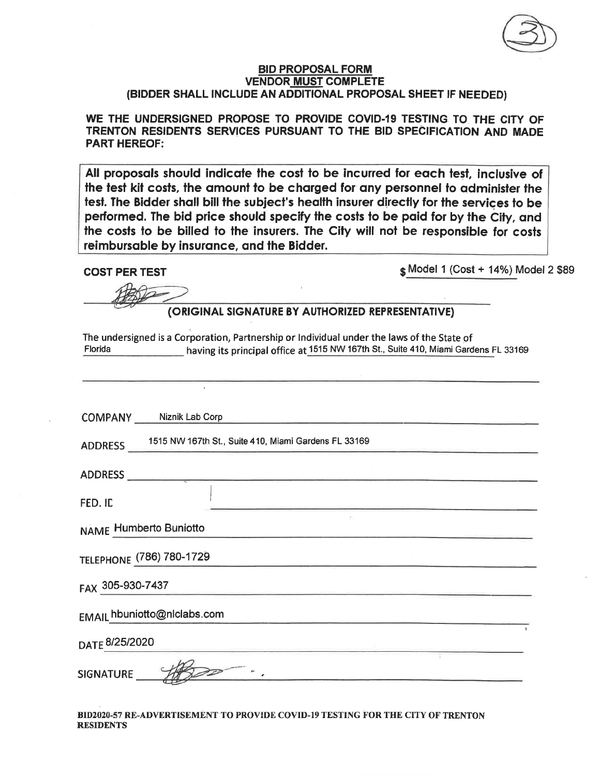WE THE UNDERSIGNED PROPOSE TO PROVIDE COVID-19 TESTING TO THE CITY OF TRENTON RESIDENTS SERVICES PURSUANT TO THE BID SPECIFICATION AND MADE **PART HEREOF:** 

All proposals should indicate the cost to be incurred for each test, inclusive of the test kit costs, the amount to be charged for any personnel to administer the test. The Bidder shall bill the subject's health insurer directly for the services to be performed. The bid price should specify the costs to be paid for by the City, and the costs to be billed to the insurers. The City will not be responsible for costs reimbursable by insurance, and the Bidder.

**COST PER TEST** 

\$ Model 1 (Cost + 14%) Model 2 \$89

## (ORIGINAL SIGNATURE BY AUTHORIZED REPRESENTATIVE)

The undersigned is a Corporation, Partnership or Individual under the laws of the State of having its principal office at 1515 NW 167th St., Suite 410, Miami Gardens FL 33169 Florida

|                           | COMPANY Niznik Lab Corp                              |  |
|---------------------------|------------------------------------------------------|--|
| <b>ADDRESS</b>            | 1515 NW 167th St., Suite 410, Miami Gardens FL 33169 |  |
| <b>ADDRESS</b>            |                                                      |  |
| FED. ID                   |                                                      |  |
|                           | <b>NAME Humberto Buniotto</b>                        |  |
|                           | TELEPHONE (786) 780-1729                             |  |
| FAX 305-930-7437          |                                                      |  |
|                           | EMAIL hbuniotto@nlclabs.com                          |  |
| DATE <sup>8/25/2020</sup> |                                                      |  |
| <b>SIGNATURE</b>          |                                                      |  |
|                           |                                                      |  |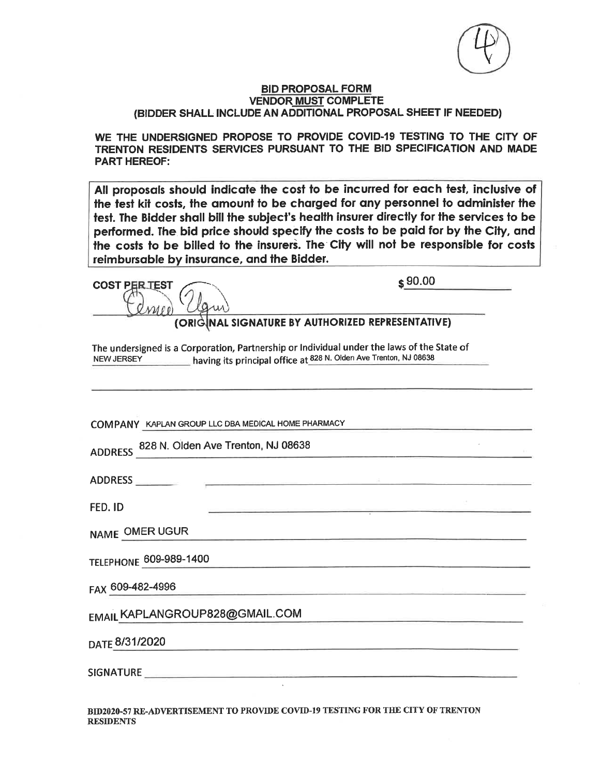

WE THE UNDERSIGNED PROPOSE TO PROVIDE COVID-19 TESTING TO THE CITY OF TRENTON RESIDENTS SERVICES PURSUANT TO THE BID SPECIFICATION AND MADE **PART HEREOF:** 

All proposals should indicate the cost to be incurred for each test, inclusive of the test kit costs, the amount to be charged for any personnel to administer the test. The Bidder shall bill the subject's health insurer directly for the services to be performed. The bid price should specify the costs to be paid for by the City, and the costs to be billed to the insurers. The City will not be responsible for costs reimbursable by insurance, and the Bidder.

**COST PER TEST**  $MPO$ 

 $$90.00$ 

(ORIGINAL SIGNATURE BY AUTHORIZED REPRESENTATIVE)

The undersigned is a Corporation, Partnership or Individual under the laws of the State of NEW JERSEY having its principal office at 828 N. Olden Ave Trenton, NJ 08638

COMPANY KAPLAN GROUP LLC DBA MEDICAL HOME PHARMACY

ADDRESS 828 N. Olden Ave Trenton, NJ 08638

ADDRESS

FED. ID

**NAME OMER UGUR** 

**TELEPHONE 609-989-1400** 

FAX 609-482-4996

EMAIL KAPLANGROUP828@GMAIL.COM

DATE 8/31/2020

**SIGNATURE**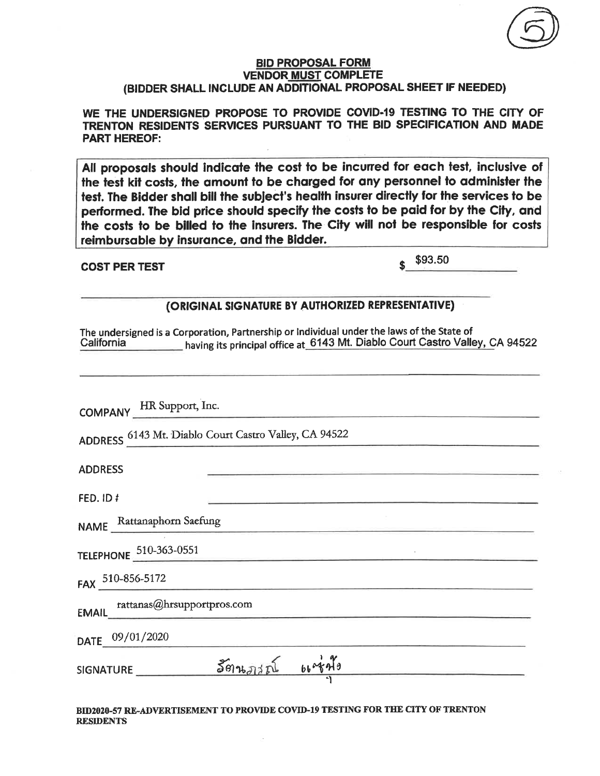WE THE UNDERSIGNED PROPOSE TO PROVIDE COVID-19 TESTING TO THE CITY OF TRENTON RESIDENTS SERVICES PURSUANT TO THE BID SPECIFICATION AND MADE **PART HEREOF:** 

All proposals should indicate the cost to be incurred for each test, inclusive of the test kit costs, the amount to be charged for any personnel to administer the test. The Bidder shall bill the subject's health insurer directly for the services to be performed. The bid price should specify the costs to be paid for by the City, and the costs to be billed to the insurers. The City will not be responsible for costs reimbursable by insurance, and the Bidder.

## **COST PER TEST**

\$93.50

## (ORIGINAL SIGNATURE BY AUTHORIZED REPRESENTATIVE)

The undersigned is a Corporation, Partnership or Individual under the laws of the State of having its principal office at 6143 Mt. Diablo Court Castro Valley, CA 94522 California

| COMPANY HR Support, Inc.                              |  |
|-------------------------------------------------------|--|
| ADDRESS 6143 Mt. Diablo Court Castro Valley, CA 94522 |  |
| <b>ADDRESS</b>                                        |  |
| FED. ID #                                             |  |
| NAME Rattanaphorn Saefung                             |  |
| TELEPHONE 510-363-0551                                |  |
| FAX 510-856-5172                                      |  |
| rattanas@hrsupportpros.com                            |  |
| DATE 09/01/2020                                       |  |
| $S=501575$                                            |  |
|                                                       |  |
|                                                       |  |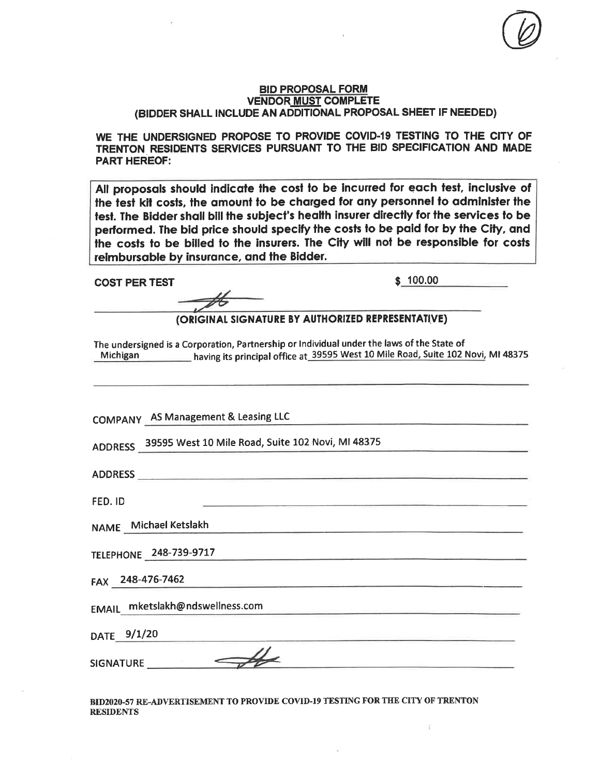WE THE UNDERSIGNED PROPOSE TO PROVIDE COVID-19 TESTING TO THE CITY OF TRENTON RESIDENTS SERVICES PURSUANT TO THE BID SPECIFICATION AND MADE **PART HEREOF:** 

All proposals should indicate the cost to be incurred for each test, inclusive of the test kit costs, the amount to be charged for any personnel to administer the test. The Bidder shall bill the subject's health insurer directly for the services to be performed. The bid price should specify the costs to be paid for by the City, and the costs to be billed to the insurers. The City will not be responsible for costs reimbursable by insurance, and the Bidder.

**COST PER TEST** 

 $$100.00$ 

(ORIGINAL SIGNATURE BY AUTHORIZED REPRESENTATIVE)

The undersigned is a Corporation, Partnership or Individual under the laws of the State of Michigan having its principal office at 39595 West 10 Mile Road, Suite 102 Novi, MI 48375

COMPANY AS Management & Leasing LLC

ADDRESS 39595 West 10 Mile Road, Suite 102 Novi, MI 48375

ADDRESS

FED. ID

NAME Michael Ketslakh

TELEPHONE 248-739-9717

FAX 248-476-7462

EMAIL mketslakh@ndswellness.com

DATE 9/1/20

**SIGNATURE**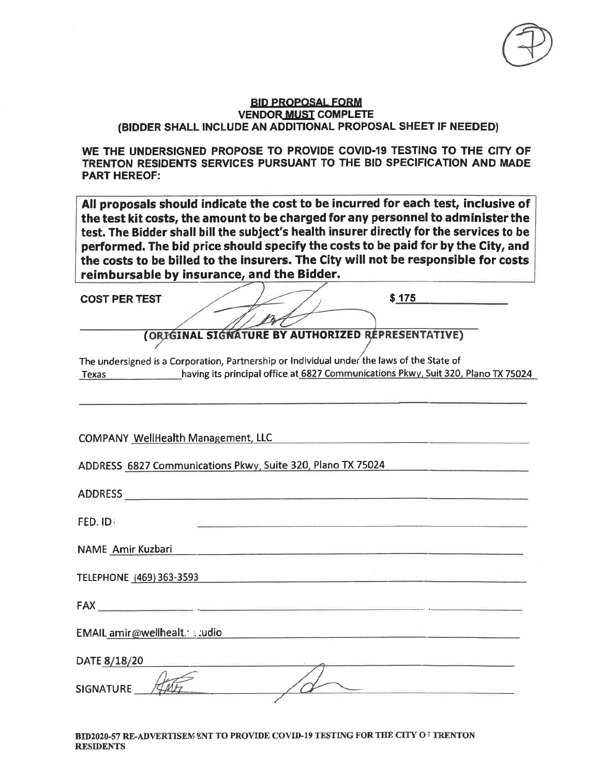WE THE UNDERSIGNED PROPOSE TO PROVIDE COVID-19 TESTING TO THE CITY OF TRENTON RESIDENTS SERVICES PURSUANT TO THE BID SPECIFICATION AND MADE **PART HEREOF:** 

All proposals should indicate the cost to be incurred for each test, inclusive of the test kit costs, the amount to be charged for any personnel to administer the test. The Bidder shall bill the subject's health insurer directly for the services to be performed. The bid price should specify the costs to be paid for by the City, and the costs to be billed to the insurers. The City will not be responsible for costs reimbursable by insurance, and the Bidder.

**COST PER TEST** 

 $$175$ 

(ORIGINAL SIGNATURE BY AUTHORIZED REPRESENTATIVE)

The undersigned is a Corporation, Partnership or Individual under the laws of the State of Texas having its principal office at 6827 Communications Pkwy, Suit 320, Plano TX 75024

COMPANY WellHealth Management, LLC COMPANY WellHealth Management, LLC

ADDRESS 6827 Communications Pkwy, Suite 320, Plano TX 75024

ADDRESS ARE AN ARRAIGNMENT OF THE CONTRACTOR OF THE CONTRACTOR OF THE CONTRACTOR OF THE CONTRACTOR OF THE CONTRACTOR FED. ID: NAME Amir Kuzbari TELEPHONE (469) 363-3593 FAX ALL AND CONTROL CONTROL CONTROL CONTROL CONTROL CONTROL CONTROL CONTROL CONTROL CONTROL CONTROL CONTROL CO EMAIL amir@wellhealt. . . . udio DATE 8/18/20 **SIGNATURE**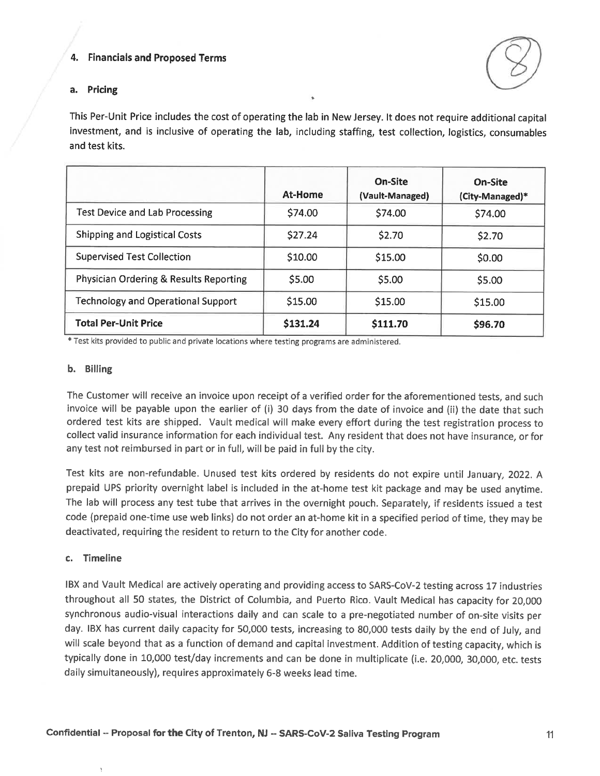## 4. Financials and Proposed Terms



## a. Pricing

This Per-Unit Price includes the cost of operating the lab in New Jersey. It does not require additional capital investment, and is inclusive of operating the lab, including staffing, test collection, logistics, consumables and test kits.

|                                                   | At-Home  | On-Site<br>(Vault-Managed) | On-Site<br>(City-Managed)* |
|---------------------------------------------------|----------|----------------------------|----------------------------|
| <b>Test Device and Lab Processing</b>             | \$74.00  | \$74.00                    | \$74.00                    |
| <b>Shipping and Logistical Costs</b>              | \$27.24  | \$2.70                     | \$2.70                     |
| <b>Supervised Test Collection</b>                 | \$10.00  | \$15.00                    | \$0.00                     |
| <b>Physician Ordering &amp; Results Reporting</b> | \$5.00   | \$5.00                     | \$5.00                     |
| <b>Technology and Operational Support</b>         | \$15.00  | \$15.00                    | \$15.00                    |
| <b>Total Per-Unit Price</b>                       | \$131.24 | \$111.70                   | \$96.70                    |

\* Test kits provided to public and private locations where testing programs are administered.

#### b. Billing

The Customer will receive an invoice upon receipt of a verified order for the aforementioned tests, and such invoice will be payable upon the earlier of (i) 30 days from the date of invoice and (ii) the date that such ordered test kits are shipped. Vault medical will make every effort during the test registration process to collect valid insurance information for each individual test. Any resident that does not have insurance, or for any test not reimbursed in part or in full, will be paid in full by the city.

Test kits are non-refundable. Unused test kits ordered by residents do not expire until January, 2022. A prepaid UPS priority overnight label is included in the at-home test kit package and may be used anytime. The lab will process any test tube that arrives in the overnight pouch. Separately, if residents issued a test code (prepaid one-time use web links) do not order an at-home kit in a specified period of time, they may be deactivated, requiring the resident to return to the City for another code.

#### c. Timeline

IBX and Vault Medical are actively operating and providing access to SARS-CoV-2 testing across 17 industries throughout all 50 states, the District of Columbia, and Puerto Rico. Vault Medical has capacity for 20,000 synchronous audio-visual interactions daily and can scale to a pre-negotiated number of on-site visits per day. IBX has current daily capacity for 50,000 tests, increasing to 80,000 tests daily by the end of July, and will scale beyond that as a function of demand and capital investment. Addition of testing capacity, which is typically done in 10,000 test/day increments and can be done in multiplicate (i.e. 20,000, 30,000, etc. tests daily simultaneously), requires approximately 6-8 weeks lead time.